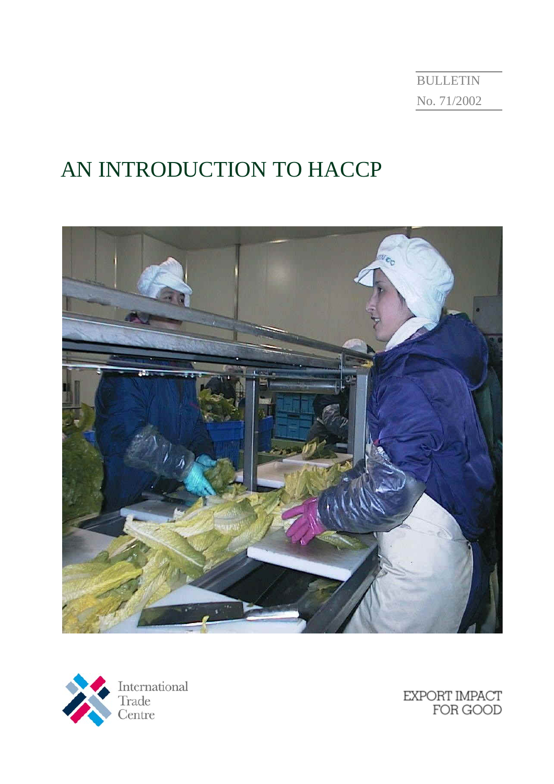BULLETIN No. 71/2002

# AN INTRODUCTION TO HACCP





EXPORT IMPACT FOR GOOD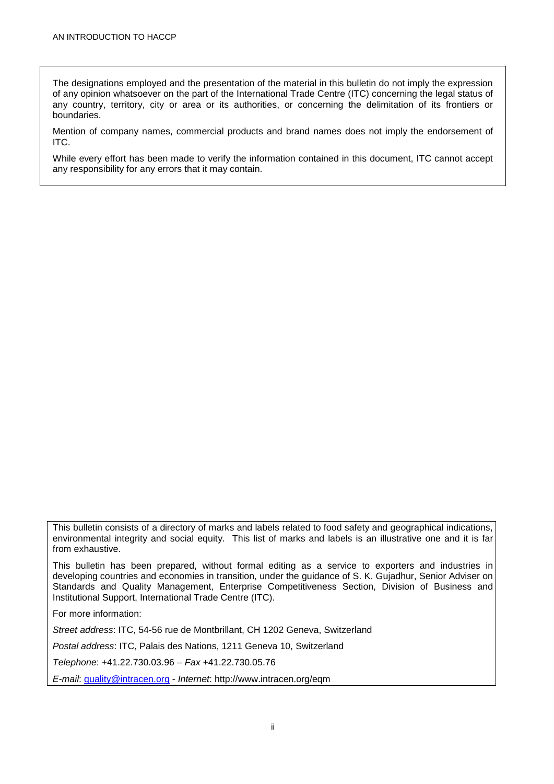The designations employed and the presentation of the material in this bulletin do not imply the expression of any opinion whatsoever on the part of the International Trade Centre (ITC) concerning the legal status of any country, territory, city or area or its authorities, or concerning the delimitation of its frontiers or boundaries.

Mention of company names, commercial products and brand names does not imply the endorsement of ITC.

While every effort has been made to verify the information contained in this document, ITC cannot accept any responsibility for any errors that it may contain.

This bulletin consists of a directory of marks and labels related to food safety and geographical indications, environmental integrity and social equity. This list of marks and labels is an illustrative one and it is far from exhaustive.

This bulletin has been prepared, without formal editing as a service to exporters and industries in developing countries and economies in transition, under the guidance of S. K. Gujadhur, Senior Adviser on Standards and Quality Management, Enterprise Competitiveness Section, Division of Business and Institutional Support, International Trade Centre (ITC).

For more information:

*Street address*: ITC, 54-56 rue de Montbrillant, CH 1202 Geneva, Switzerland

*Postal address*: ITC, Palais des Nations, 1211 Geneva 10, Switzerland

*Telephone*: +41.22.730.03.96 – *Fax* +41.22.730.05.76

*E-mail*: [quality@intracen.org](mailto:quality@intracen.org) - *Internet*: http://www.intracen.org/eqm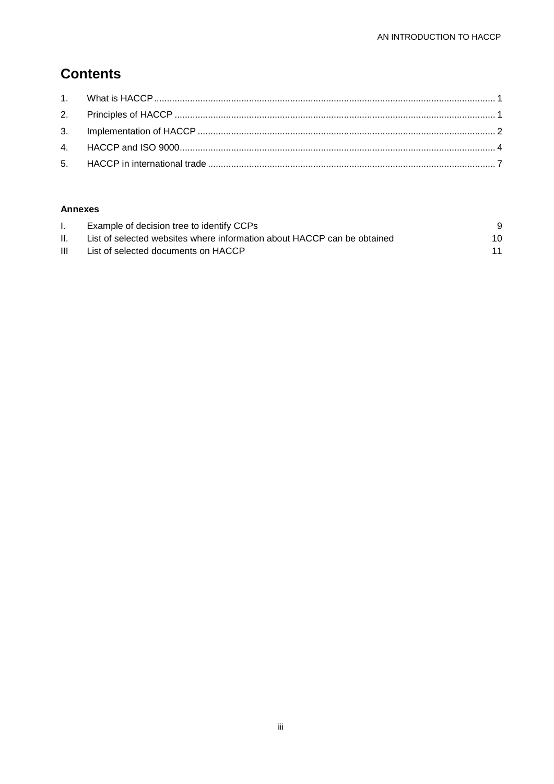# **Contents**

# **Annexes**

|   | Example of decision tree to identify CCPs                               |    |
|---|-------------------------------------------------------------------------|----|
|   | List of selected websites where information about HACCP can be obtained | 10 |
| Ш | List of selected documents on HACCP                                     |    |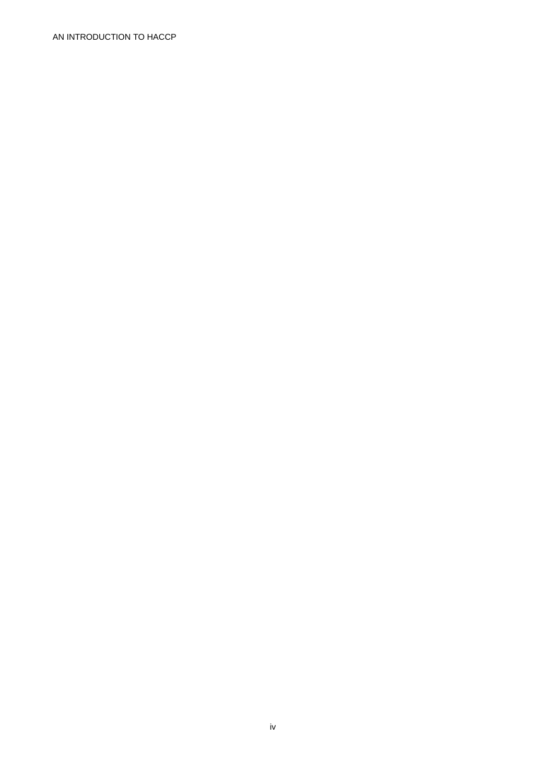#### AN INTRODUCTION TO HACCP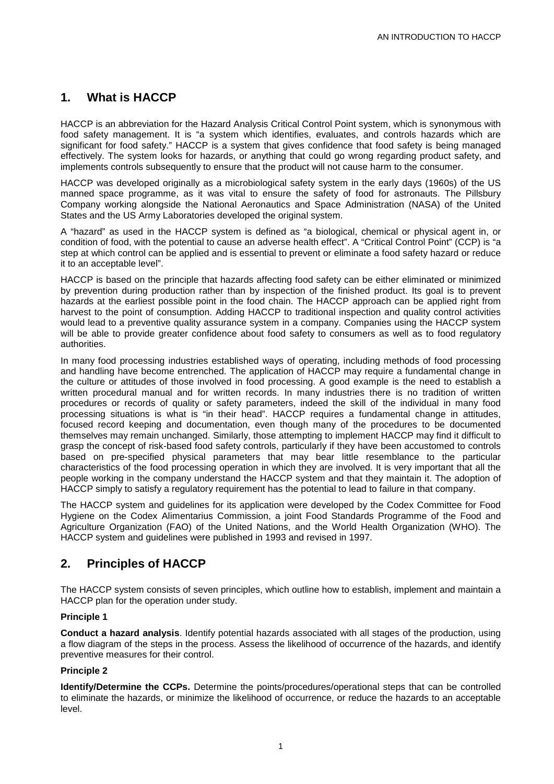# <span id="page-4-0"></span>**1. What is HACCP**

HACCP is an abbreviation for the Hazard Analysis Critical Control Point system, which is synonymous with food safety management. It is "a system which identifies, evaluates, and controls hazards which are significant for food safety." HACCP is a system that gives confidence that food safety is being managed effectively. The system looks for hazards, or anything that could go wrong regarding product safety, and implements controls subsequently to ensure that the product will not cause harm to the consumer.

HACCP was developed originally as a microbiological safety system in the early days (1960s) of the US manned space programme, as it was vital to ensure the safety of food for astronauts. The Pillsbury Company working alongside the National Aeronautics and Space Administration (NASA) of the United States and the US Army Laboratories developed the original system.

A "hazard" as used in the HACCP system is defined as "a biological, chemical or physical agent in, or condition of food, with the potential to cause an adverse health effect". A "Critical Control Point" (CCP) is "a step at which control can be applied and is essential to prevent or eliminate a food safety hazard or reduce it to an acceptable level".

HACCP is based on the principle that hazards affecting food safety can be either eliminated or minimized by prevention during production rather than by inspection of the finished product. Its goal is to prevent hazards at the earliest possible point in the food chain. The HACCP approach can be applied right from harvest to the point of consumption. Adding HACCP to traditional inspection and quality control activities would lead to a preventive quality assurance system in a company. Companies using the HACCP system will be able to provide greater confidence about food safety to consumers as well as to food regulatory authorities.

In many food processing industries established ways of operating, including methods of food processing and handling have become entrenched. The application of HACCP may require a fundamental change in the culture or attitudes of those involved in food processing. A good example is the need to establish a written procedural manual and for written records. In many industries there is no tradition of written procedures or records of quality or safety parameters, indeed the skill of the individual in many food processing situations is what is "in their head". HACCP requires a fundamental change in attitudes, focused record keeping and documentation, even though many of the procedures to be documented themselves may remain unchanged. Similarly, those attempting to implement HACCP may find it difficult to grasp the concept of risk-based food safety controls, particularly if they have been accustomed to controls based on pre-specified physical parameters that may bear little resemblance to the particular characteristics of the food processing operation in which they are involved. It is very important that all the people working in the company understand the HACCP system and that they maintain it. The adoption of HACCP simply to satisfy a regulatory requirement has the potential to lead to failure in that company.

The HACCP system and guidelines for its application were developed by the Codex Committee for Food Hygiene on the Codex Alimentarius Commission, a joint Food Standards Programme of the Food and Agriculture Organization (FAO) of the United Nations, and the World Health Organization (WHO). The HACCP system and guidelines were published in 1993 and revised in 1997.

# <span id="page-4-1"></span>**2. Principles of HACCP**

The HACCP system consists of seven principles, which outline how to establish, implement and maintain a HACCP plan for the operation under study.

## **Principle 1**

**Conduct a hazard analysis**. Identify potential hazards associated with all stages of the production, using a flow diagram of the steps in the process. Assess the likelihood of occurrence of the hazards, and identify preventive measures for their control.

## **Principle 2**

**Identify/Determine the CCPs.** Determine the points/procedures/operational steps that can be controlled to eliminate the hazards, or minimize the likelihood of occurrence, or reduce the hazards to an acceptable level.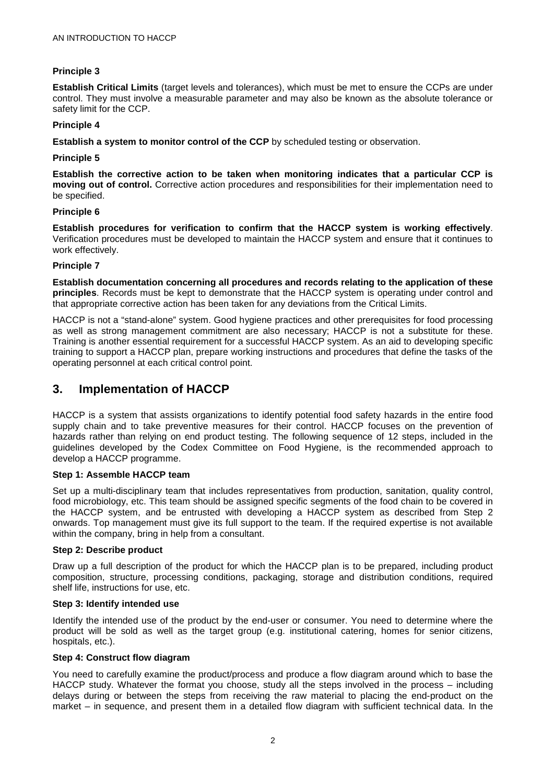#### **Principle 3**

**Establish Critical Limits** (target levels and tolerances), which must be met to ensure the CCPs are under control. They must involve a measurable parameter and may also be known as the absolute tolerance or safety limit for the CCP.

#### **Principle 4**

**Establish a system to monitor control of the CCP** by scheduled testing or observation.

#### **Principle 5**

**Establish the corrective action to be taken when monitoring indicates that a particular CCP is moving out of control.** Corrective action procedures and responsibilities for their implementation need to be specified.

#### **Principle 6**

**Establish procedures for verification to confirm that the HACCP system is working effectively**. Verification procedures must be developed to maintain the HACCP system and ensure that it continues to work effectively.

#### **Principle 7**

**Establish documentation concerning all procedures and records relating to the application of these principles**. Records must be kept to demonstrate that the HACCP system is operating under control and that appropriate corrective action has been taken for any deviations from the Critical Limits.

HACCP is not a "stand-alone" system. Good hygiene practices and other prerequisites for food processing as well as strong management commitment are also necessary; HACCP is not a substitute for these. Training is another essential requirement for a successful HACCP system. As an aid to developing specific training to support a HACCP plan, prepare working instructions and procedures that define the tasks of the operating personnel at each critical control point.

# <span id="page-5-0"></span>**3. Implementation of HACCP**

HACCP is a system that assists organizations to identify potential food safety hazards in the entire food supply chain and to take preventive measures for their control. HACCP focuses on the prevention of hazards rather than relying on end product testing. The following sequence of 12 steps, included in the guidelines developed by the Codex Committee on Food Hygiene, is the recommended approach to develop a HACCP programme.

#### **Step 1: Assemble HACCP team**

Set up a multi-disciplinary team that includes representatives from production, sanitation, quality control, food microbiology, etc. This team should be assigned specific segments of the food chain to be covered in the HACCP system, and be entrusted with developing a HACCP system as described from Step 2 onwards. Top management must give its full support to the team. If the required expertise is not available within the company, bring in help from a consultant.

#### **Step 2: Describe product**

Draw up a full description of the product for which the HACCP plan is to be prepared, including product composition, structure, processing conditions, packaging, storage and distribution conditions, required shelf life, instructions for use, etc.

#### **Step 3: Identify intended use**

Identify the intended use of the product by the end-user or consumer. You need to determine where the product will be sold as well as the target group (e.g. institutional catering, homes for senior citizens, hospitals, etc.).

#### **Step 4: Construct flow diagram**

You need to carefully examine the product/process and produce a flow diagram around which to base the HACCP study. Whatever the format you choose, study all the steps involved in the process – including delays during or between the steps from receiving the raw material to placing the end-product on the market – in sequence, and present them in a detailed flow diagram with sufficient technical data. In the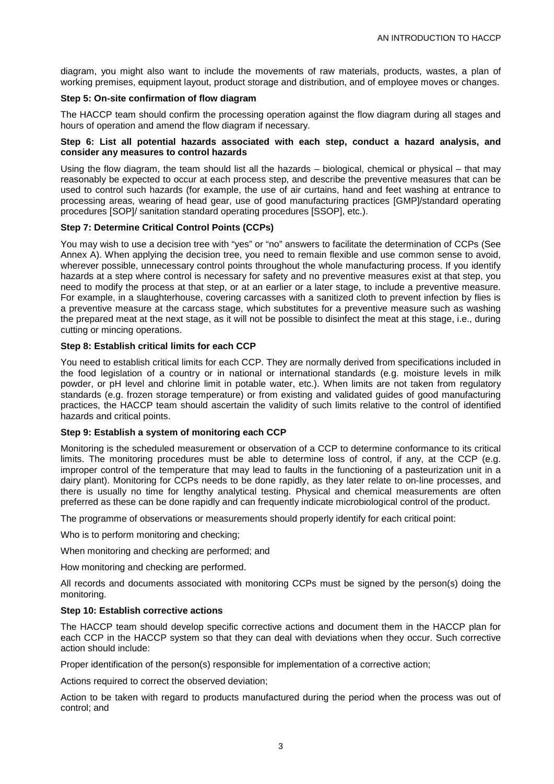diagram, you might also want to include the movements of raw materials, products, wastes, a plan of working premises, equipment layout, product storage and distribution, and of employee moves or changes.

#### **Step 5: On-site confirmation of flow diagram**

The HACCP team should confirm the processing operation against the flow diagram during all stages and hours of operation and amend the flow diagram if necessary.

#### **Step 6: List all potential hazards associated with each step, conduct a hazard analysis, and consider any measures to control hazards**

Using the flow diagram, the team should list all the hazards – biological, chemical or physical – that may reasonably be expected to occur at each process step, and describe the preventive measures that can be used to control such hazards (for example, the use of air curtains, hand and feet washing at entrance to processing areas, wearing of head gear, use of good manufacturing practices [GMP]/standard operating procedures [SOP]/ sanitation standard operating procedures [SSOP], etc.).

#### **Step 7: Determine Critical Control Points (CCPs)**

You may wish to use a decision tree with "yes" or "no" answers to facilitate the determination of CCPs (See Annex A). When applying the decision tree, you need to remain flexible and use common sense to avoid, wherever possible, unnecessary control points throughout the whole manufacturing process. If you identify hazards at a step where control is necessary for safety and no preventive measures exist at that step, you need to modify the process at that step, or at an earlier or a later stage, to include a preventive measure. For example, in a slaughterhouse, covering carcasses with a sanitized cloth to prevent infection by flies is a preventive measure at the carcass stage, which substitutes for a preventive measure such as washing the prepared meat at the next stage, as it will not be possible to disinfect the meat at this stage, i.e., during cutting or mincing operations.

### **Step 8: Establish critical limits for each CCP**

You need to establish critical limits for each CCP. They are normally derived from specifications included in the food legislation of a country or in national or international standards (e.g. moisture levels in milk powder, or pH level and chlorine limit in potable water, etc.). When limits are not taken from regulatory standards (e.g. frozen storage temperature) or from existing and validated guides of good manufacturing practices, the HACCP team should ascertain the validity of such limits relative to the control of identified hazards and critical points.

#### **Step 9: Establish a system of monitoring each CCP**

Monitoring is the scheduled measurement or observation of a CCP to determine conformance to its critical limits. The monitoring procedures must be able to determine loss of control, if any, at the CCP (e.g. improper control of the temperature that may lead to faults in the functioning of a pasteurization unit in a dairy plant). Monitoring for CCPs needs to be done rapidly, as they later relate to on-line processes, and there is usually no time for lengthy analytical testing. Physical and chemical measurements are often preferred as these can be done rapidly and can frequently indicate microbiological control of the product.

The programme of observations or measurements should properly identify for each critical point:

Who is to perform monitoring and checking;

When monitoring and checking are performed; and

How monitoring and checking are performed.

All records and documents associated with monitoring CCPs must be signed by the person(s) doing the monitoring.

#### **Step 10: Establish corrective actions**

The HACCP team should develop specific corrective actions and document them in the HACCP plan for each CCP in the HACCP system so that they can deal with deviations when they occur. Such corrective action should include:

Proper identification of the person(s) responsible for implementation of a corrective action;

Actions required to correct the observed deviation;

Action to be taken with regard to products manufactured during the period when the process was out of control; and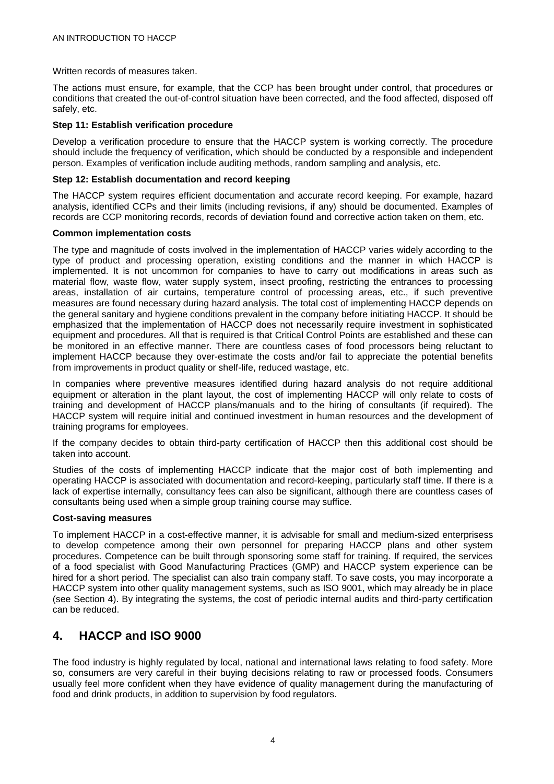Written records of measures taken.

The actions must ensure, for example, that the CCP has been brought under control, that procedures or conditions that created the out-of-control situation have been corrected, and the food affected, disposed off safely, etc.

#### **Step 11: Establish verification procedure**

Develop a verification procedure to ensure that the HACCP system is working correctly. The procedure should include the frequency of verification, which should be conducted by a responsible and independent person. Examples of verification include auditing methods, random sampling and analysis, etc.

#### **Step 12: Establish documentation and record keeping**

The HACCP system requires efficient documentation and accurate record keeping. For example, hazard analysis, identified CCPs and their limits (including revisions, if any) should be documented. Examples of records are CCP monitoring records, records of deviation found and corrective action taken on them, etc.

#### **Common implementation costs**

The type and magnitude of costs involved in the implementation of HACCP varies widely according to the type of product and processing operation, existing conditions and the manner in which HACCP is implemented. It is not uncommon for companies to have to carry out modifications in areas such as material flow, waste flow, water supply system, insect proofing, restricting the entrances to processing areas, installation of air curtains, temperature control of processing areas, etc., if such preventive measures are found necessary during hazard analysis. The total cost of implementing HACCP depends on the general sanitary and hygiene conditions prevalent in the company before initiating HACCP. It should be emphasized that the implementation of HACCP does not necessarily require investment in sophisticated equipment and procedures. All that is required is that Critical Control Points are established and these can be monitored in an effective manner. There are countless cases of food processors being reluctant to implement HACCP because they over-estimate the costs and/or fail to appreciate the potential benefits from improvements in product quality or shelf-life, reduced wastage, etc.

In companies where preventive measures identified during hazard analysis do not require additional equipment or alteration in the plant layout, the cost of implementing HACCP will only relate to costs of training and development of HACCP plans/manuals and to the hiring of consultants (if required). The HACCP system will require initial and continued investment in human resources and the development of training programs for employees.

If the company decides to obtain third-party certification of HACCP then this additional cost should be taken into account.

Studies of the costs of implementing HACCP indicate that the major cost of both implementing and operating HACCP is associated with documentation and record-keeping, particularly staff time. If there is a lack of expertise internally, consultancy fees can also be significant, although there are countless cases of consultants being used when a simple group training course may suffice.

#### **Cost-saving measures**

To implement HACCP in a cost-effective manner, it is advisable for small and medium-sized enterprisess to develop competence among their own personnel for preparing HACCP plans and other system procedures. Competence can be built through sponsoring some staff for training. If required, the services of a food specialist with Good Manufacturing Practices (GMP) and HACCP system experience can be hired for a short period. The specialist can also train company staff. To save costs, you may incorporate a HACCP system into other quality management systems, such as ISO 9001, which may already be in place (see Section 4). By integrating the systems, the cost of periodic internal audits and third-party certification can be reduced.

# <span id="page-7-0"></span>**4. HACCP and ISO 9000**

The food industry is highly regulated by local, national and international laws relating to food safety. More so, consumers are very careful in their buying decisions relating to raw or processed foods. Consumers usually feel more confident when they have evidence of quality management during the manufacturing of food and drink products, in addition to supervision by food regulators.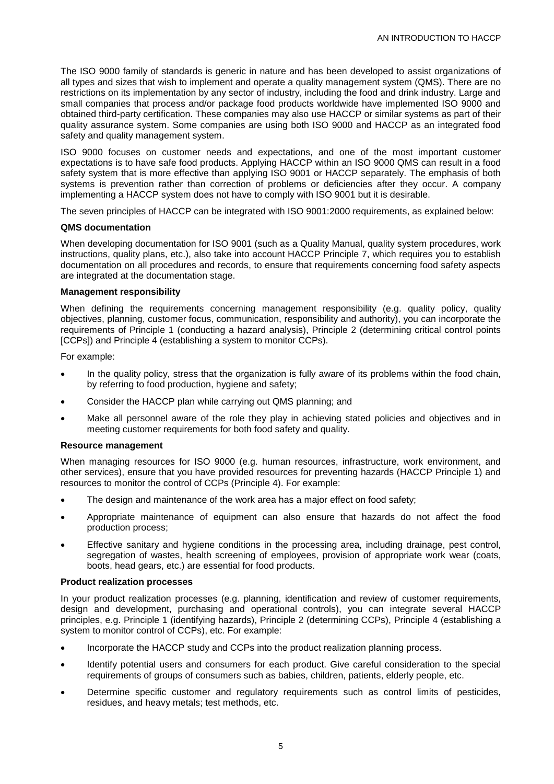The ISO 9000 family of standards is generic in nature and has been developed to assist organizations of all types and sizes that wish to implement and operate a quality management system (QMS). There are no restrictions on its implementation by any sector of industry, including the food and drink industry. Large and small companies that process and/or package food products worldwide have implemented ISO 9000 and obtained third-party certification. These companies may also use HACCP or similar systems as part of their quality assurance system. Some companies are using both ISO 9000 and HACCP as an integrated food safety and quality management system.

ISO 9000 focuses on customer needs and expectations, and one of the most important customer expectations is to have safe food products. Applying HACCP within an ISO 9000 QMS can result in a food safety system that is more effective than applying ISO 9001 or HACCP separately. The emphasis of both systems is prevention rather than correction of problems or deficiencies after they occur. A company implementing a HACCP system does not have to comply with ISO 9001 but it is desirable.

The seven principles of HACCP can be integrated with ISO 9001:2000 requirements, as explained below:

#### **QMS documentation**

When developing documentation for ISO 9001 (such as a Quality Manual, quality system procedures, work instructions, quality plans, etc.), also take into account HACCP Principle 7, which requires you to establish documentation on all procedures and records, to ensure that requirements concerning food safety aspects are integrated at the documentation stage.

#### **Management responsibility**

When defining the requirements concerning management responsibility (e.g. quality policy, quality objectives, planning, customer focus, communication, responsibility and authority), you can incorporate the requirements of Principle 1 (conducting a hazard analysis), Principle 2 (determining critical control points [CCPs]) and Principle 4 (establishing a system to monitor CCPs).

For example:

- In the quality policy, stress that the organization is fully aware of its problems within the food chain, by referring to food production, hygiene and safety;
- Consider the HACCP plan while carrying out QMS planning; and
- Make all personnel aware of the role they play in achieving stated policies and objectives and in meeting customer requirements for both food safety and quality.

#### **Resource management**

When managing resources for ISO 9000 (e.g. human resources, infrastructure, work environment, and other services), ensure that you have provided resources for preventing hazards (HACCP Principle 1) and resources to monitor the control of CCPs (Principle 4). For example:

- The design and maintenance of the work area has a major effect on food safety;
- Appropriate maintenance of equipment can also ensure that hazards do not affect the food production process;
- Effective sanitary and hygiene conditions in the processing area, including drainage, pest control, segregation of wastes, health screening of employees, provision of appropriate work wear (coats, boots, head gears, etc.) are essential for food products.

#### **Product realization processes**

In your product realization processes (e.g. planning, identification and review of customer requirements, design and development, purchasing and operational controls), you can integrate several HACCP principles, e.g. Principle 1 (identifying hazards), Principle 2 (determining CCPs), Principle 4 (establishing a system to monitor control of CCPs), etc. For example:

- Incorporate the HACCP study and CCPs into the product realization planning process.
- Identify potential users and consumers for each product. Give careful consideration to the special requirements of groups of consumers such as babies, children, patients, elderly people, etc.
- Determine specific customer and regulatory requirements such as control limits of pesticides, residues, and heavy metals; test methods, etc.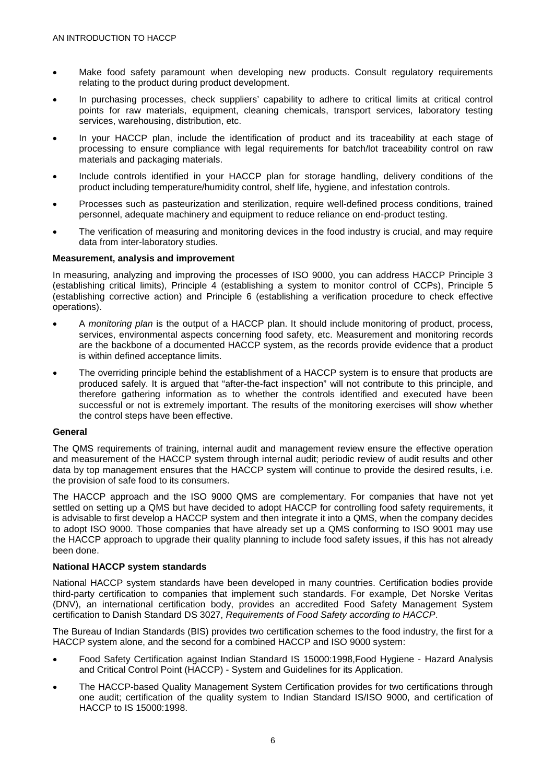- Make food safety paramount when developing new products. Consult regulatory requirements relating to the product during product development.
- In purchasing processes, check suppliers' capability to adhere to critical limits at critical control points for raw materials, equipment, cleaning chemicals, transport services, laboratory testing services, warehousing, distribution, etc.
- In your HACCP plan, include the identification of product and its traceability at each stage of processing to ensure compliance with legal requirements for batch/lot traceability control on raw materials and packaging materials.
- Include controls identified in your HACCP plan for storage handling, delivery conditions of the product including temperature/humidity control, shelf life, hygiene, and infestation controls.
- Processes such as pasteurization and sterilization, require well-defined process conditions, trained personnel, adequate machinery and equipment to reduce reliance on end-product testing.
- The verification of measuring and monitoring devices in the food industry is crucial, and may require data from inter-laboratory studies.

#### **Measurement, analysis and improvement**

In measuring, analyzing and improving the processes of ISO 9000, you can address HACCP Principle 3 (establishing critical limits), Principle 4 (establishing a system to monitor control of CCPs), Principle 5 (establishing corrective action) and Principle 6 (establishing a verification procedure to check effective operations).

- A *monitoring plan* is the output of a HACCP plan. It should include monitoring of product, process, services, environmental aspects concerning food safety, etc. Measurement and monitoring records are the backbone of a documented HACCP system, as the records provide evidence that a product is within defined acceptance limits.
- The overriding principle behind the establishment of a HACCP system is to ensure that products are produced safely. It is argued that "after-the-fact inspection" will not contribute to this principle, and therefore gathering information as to whether the controls identified and executed have been successful or not is extremely important. The results of the monitoring exercises will show whether the control steps have been effective.

#### **General**

The QMS requirements of training, internal audit and management review ensure the effective operation and measurement of the HACCP system through internal audit; periodic review of audit results and other data by top management ensures that the HACCP system will continue to provide the desired results, i.e. the provision of safe food to its consumers.

The HACCP approach and the ISO 9000 QMS are complementary. For companies that have not yet settled on setting up a QMS but have decided to adopt HACCP for controlling food safety requirements, it is advisable to first develop a HACCP system and then integrate it into a QMS, when the company decides to adopt ISO 9000. Those companies that have already set up a QMS conforming to ISO 9001 may use the HACCP approach to upgrade their quality planning to include food safety issues, if this has not already been done.

#### **National HACCP system standards**

National HACCP system standards have been developed in many countries. Certification bodies provide third-party certification to companies that implement such standards. For example, Det Norske Veritas (DNV), an international certification body, provides an accredited Food Safety Management System certification to Danish Standard DS 3027, *Requirements of Food Safety according to HACCP*.

The Bureau of Indian Standards (BIS) provides two certification schemes to the food industry, the first for a HACCP system alone, and the second for a combined HACCP and ISO 9000 system:

- Food Safety Certification against Indian Standard IS 15000:1998,Food Hygiene Hazard Analysis and Critical Control Point (HACCP) - System and Guidelines for its Application.
- The HACCP-based Quality Management System Certification provides for two certifications through one audit; certification of the quality system to Indian Standard IS/ISO 9000, and certification of HACCP to IS 15000:1998.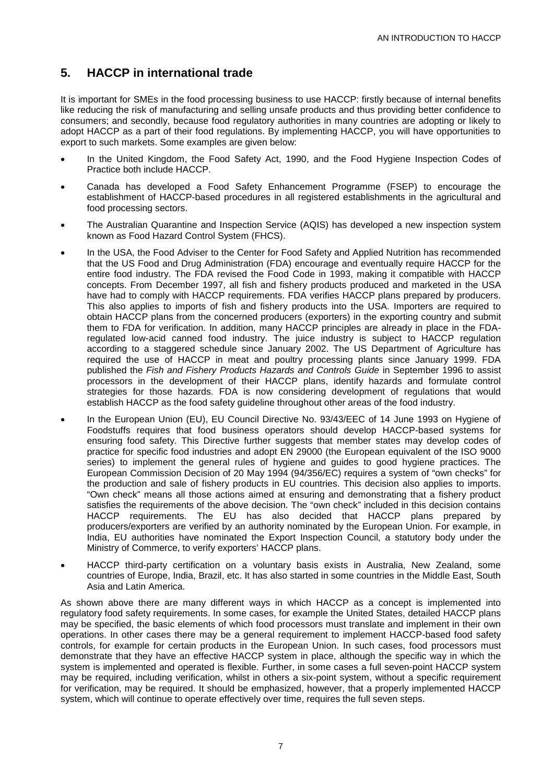# <span id="page-10-0"></span>**5. HACCP in international trade**

It is important for SMEs in the food processing business to use HACCP: firstly because of internal benefits like reducing the risk of manufacturing and selling unsafe products and thus providing better confidence to consumers; and secondly, because food regulatory authorities in many countries are adopting or likely to adopt HACCP as a part of their food regulations. By implementing HACCP, you will have opportunities to export to such markets. Some examples are given below:

- In the United Kingdom, the Food Safety Act, 1990, and the Food Hygiene Inspection Codes of Practice both include HACCP.
- Canada has developed a Food Safety Enhancement Programme (FSEP) to encourage the establishment of HACCP-based procedures in all registered establishments in the agricultural and food processing sectors.
- The Australian Quarantine and Inspection Service (AQIS) has developed a new inspection system known as Food Hazard Control System (FHCS).
- In the USA, the Food Adviser to the Center for Food Safety and Applied Nutrition has recommended that the US Food and Drug Administration (FDA) encourage and eventually require HACCP for the entire food industry. The FDA revised the Food Code in 1993, making it compatible with HACCP concepts. From December 1997, all fish and fishery products produced and marketed in the USA have had to comply with HACCP requirements. FDA verifies HACCP plans prepared by producers. This also applies to imports of fish and fishery products into the USA. Importers are required to obtain HACCP plans from the concerned producers (exporters) in the exporting country and submit them to FDA for verification. In addition, many HACCP principles are already in place in the FDAregulated low-acid canned food industry. The juice industry is subject to HACCP regulation according to a staggered schedule since January 2002. The US Department of Agriculture has required the use of HACCP in meat and poultry processing plants since January 1999. FDA published the *Fish and Fishery Products Hazards and Controls Guide* in September 1996 to assist processors in the development of their HACCP plans, identify hazards and formulate control strategies for those hazards. FDA is now considering development of regulations that would establish HACCP as the food safety guideline throughout other areas of the food industry.
- In the European Union (EU), EU Council Directive No. 93/43/EEC of 14 June 1993 on Hygiene of Foodstuffs requires that food business operators should develop HACCP-based systems for ensuring food safety. This Directive further suggests that member states may develop codes of practice for specific food industries and adopt EN 29000 (the European equivalent of the ISO 9000 series) to implement the general rules of hygiene and guides to good hygiene practices. The European Commission Decision of 20 May 1994 (94/356/EC) requires a system of "own checks" for the production and sale of fishery products in EU countries. This decision also applies to imports. "Own check" means all those actions aimed at ensuring and demonstrating that a fishery product satisfies the requirements of the above decision. The "own check" included in this decision contains HACCP requirements. The EU has also decided that HACCP plans prepared by producers/exporters are verified by an authority nominated by the European Union. For example, in India, EU authorities have nominated the Export Inspection Council, a statutory body under the Ministry of Commerce, to verify exporters' HACCP plans.
- HACCP third-party certification on a voluntary basis exists in Australia, New Zealand, some countries of Europe, India, Brazil, etc. It has also started in some countries in the Middle East, South Asia and Latin America.

As shown above there are many different ways in which HACCP as a concept is implemented into regulatory food safety requirements. In some cases, for example the United States, detailed HACCP plans may be specified, the basic elements of which food processors must translate and implement in their own operations. In other cases there may be a general requirement to implement HACCP-based food safety controls, for example for certain products in the European Union. In such cases, food processors must demonstrate that they have an effective HACCP system in place, although the specific way in which the system is implemented and operated is flexible. Further, in some cases a full seven-point HACCP system may be required, including verification, whilst in others a six-point system, without a specific requirement for verification, may be required. It should be emphasized, however, that a properly implemented HACCP system, which will continue to operate effectively over time, requires the full seven steps.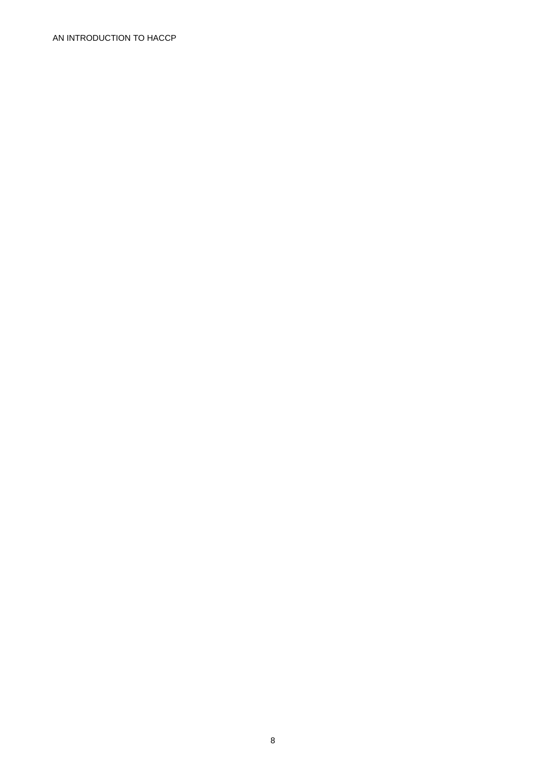#### AN INTRODUCTION TO HACCP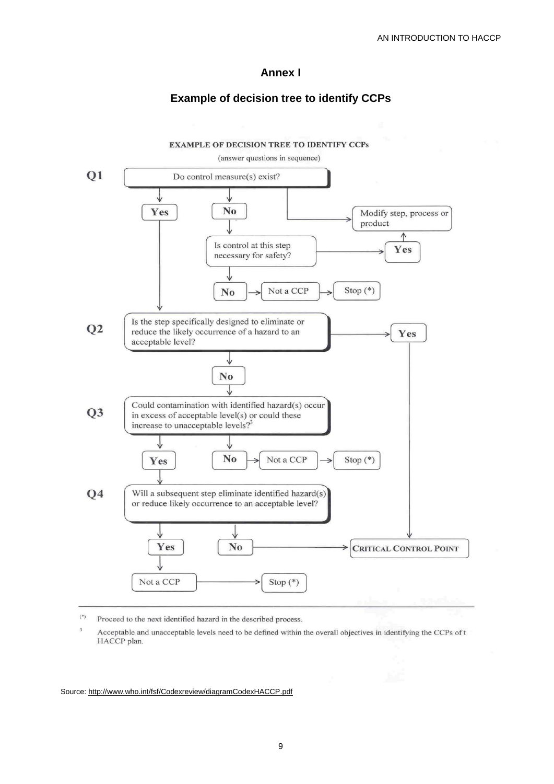## **Annex I**

# **Example of decision tree to identify CCPs**



 $\left( ^{*}\right)$ Proceed to the next identified hazard in the described process.

Acceptable and unacceptable levels need to be defined within the overall objectives in identifying the CCPs of t HACCP plan.

Source:<http://www.who.int/fsf/Codexreview/diagramCodexHACCP.pdf>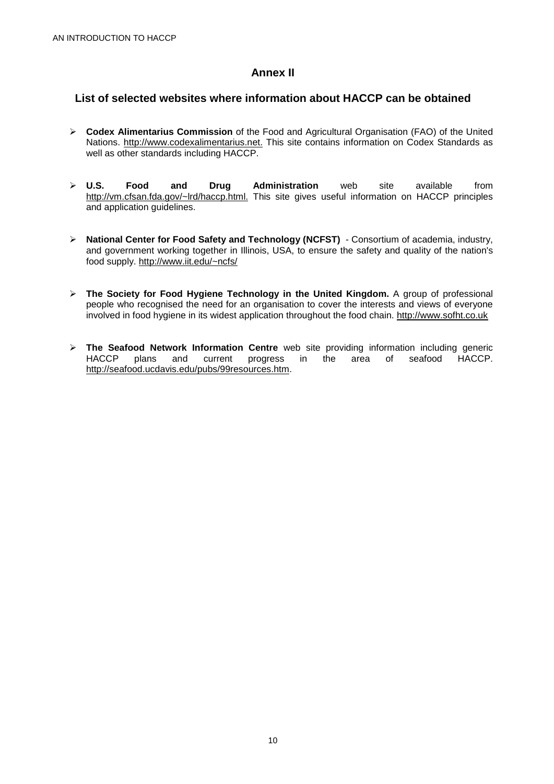# **Annex II**

# **List of selected websites where information about HACCP can be obtained**

- **Codex Alimentarius Commission** of the Food and Agricultural Organisation (FAO) of the United Nations. http://www.codexalimentarius.net. This site contains information on Codex Standards as well as other standards including HACCP.
- **U.S. Food and Drug Administration** web site available from http://vm.cfsan.fda.gov/~lrd/haccp.html. This site gives useful information on HACCP principles and application guidelines.
- **National Center for Food Safety and Technology (NCFST)** Consortium of academia, industry, and government working together in Illinois, USA, to ensure the safety and quality of the nation's food supply. http://www.iit.edu/~ncfs/
- **The Society for Food Hygiene Technology in the United Kingdom.** A group of professional people who recognised the need for an organisation to cover the interests and views of everyone involved in food hygiene in its widest application throughout the food chain. http://www.sofht.co.uk
- **The Seafood Network Information Centre** web site providing information including generic HACCP plans and current progress in the area of seafood HACCP. http://seafood.ucdavis.edu/pubs/99resources.htm.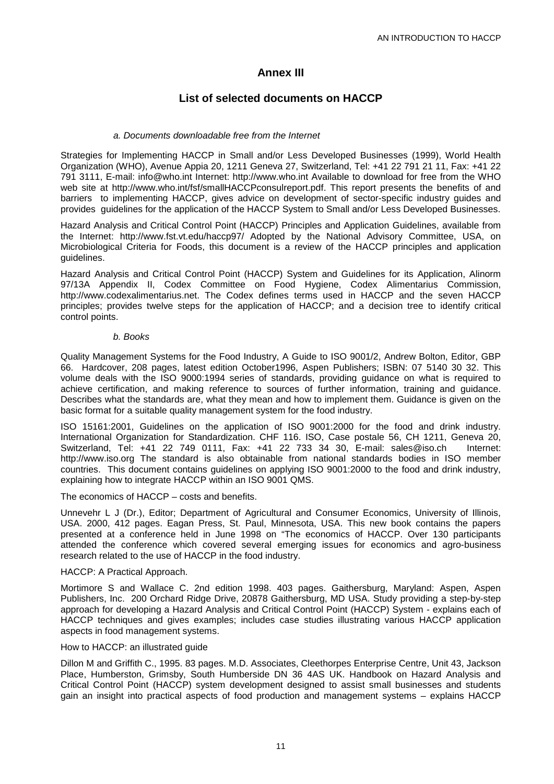# **Annex III**

# **List of selected documents on HACCP**

#### *a. Documents downloadable free from the Internet*

Strategies for Implementing HACCP in Small and/or Less Developed Businesses (1999), World Health Organization (WHO), Avenue Appia 20, 1211 Geneva 27, Switzerland, Tel: +41 22 791 21 11, Fax: +41 22 791 3111, E-mail: info@who.int Internet: http://www.who.int Available to download for free from the WHO web site at http://www.who.int/fsf/smallHACCPconsulreport.pdf. This report presents the benefits of and barriers to implementing HACCP, gives advice on development of sector-specific industry guides and provides guidelines for the application of the HACCP System to Small and/or Less Developed Businesses.

Hazard Analysis and Critical Control Point (HACCP) Principles and Application Guidelines, available from the Internet: http://www.fst.vt.edu/haccp97/ Adopted by the National Advisory Committee, USA, on Microbiological Criteria for Foods, this document is a review of the HACCP principles and application guidelines.

Hazard Analysis and Critical Control Point (HACCP) System and Guidelines for its Application, Alinorm 97/13A Appendix II, Codex Committee on Food Hygiene, Codex Alimentarius Commission, http://www.codexalimentarius.net. The Codex defines terms used in HACCP and the seven HACCP principles; provides twelve steps for the application of HACCP; and a decision tree to identify critical control points.

#### *b. Books*

Quality Management Systems for the Food Industry, A Guide to ISO 9001/2, Andrew Bolton, Editor, GBP 66. Hardcover, 208 pages, latest edition October1996, Aspen Publishers; ISBN: 07 5140 30 32. This volume deals with the ISO 9000:1994 series of standards, providing guidance on what is required to achieve certification, and making reference to sources of further information, training and guidance. Describes what the standards are, what they mean and how to implement them. Guidance is given on the basic format for a suitable quality management system for the food industry.

ISO 15161:2001, Guidelines on the application of ISO 9001:2000 for the food and drink industry. International Organization for Standardization. CHF 116. ISO, Case postale 56, CH 1211, Geneva 20, Switzerland, Tel: +41 22 749 0111, Fax: +41 22 733 34 30, E-mail: sales@iso.ch Internet: http://www.iso.org The standard is also obtainable from national standards bodies in ISO member countries. This document contains guidelines on applying ISO 9001:2000 to the food and drink industry, explaining how to integrate HACCP within an ISO 9001 QMS.

The economics of HACCP – costs and benefits.

Unnevehr L J (Dr.), Editor; Department of Agricultural and Consumer Economics, University of Illinois, USA. 2000, 412 pages. Eagan Press, St. Paul, Minnesota, USA. This new book contains the papers presented at a conference held in June 1998 on "The economics of HACCP. Over 130 participants attended the conference which covered several emerging issues for economics and agro-business research related to the use of HACCP in the food industry.

#### HACCP: A Practical Approach.

Mortimore S and Wallace C. 2nd edition 1998. 403 pages. Gaithersburg, Maryland: Aspen, Aspen Publishers, Inc. 200 Orchard Ridge Drive, 20878 Gaithersburg, MD USA. Study providing a step-by-step approach for developing a Hazard Analysis and Critical Control Point (HACCP) System - explains each of HACCP techniques and gives examples; includes case studies illustrating various HACCP application aspects in food management systems.

#### How to HACCP: an illustrated guide

Dillon M and Griffith C., 1995. 83 pages. M.D. Associates, Cleethorpes Enterprise Centre, Unit 43, Jackson Place, Humberston, Grimsby, South Humberside DN 36 4AS UK. Handbook on Hazard Analysis and Critical Control Point (HACCP) system development designed to assist small businesses and students gain an insight into practical aspects of food production and management systems – explains HACCP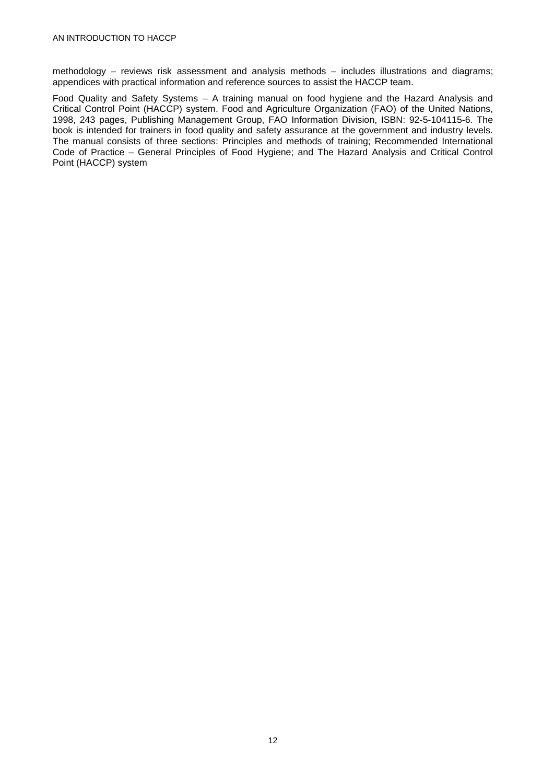methodology – reviews risk assessment and analysis methods – includes illustrations and diagrams; appendices with practical information and reference sources to assist the HACCP team.

Food Quality and Safety Systems – A training manual on food hygiene and the Hazard Analysis and Critical Control Point (HACCP) system. Food and Agriculture Organization (FAO) of the United Nations, 1998, 243 pages, Publishing Management Group, FAO Information Division, ISBN: 92-5-104115-6. The book is intended for trainers in food quality and safety assurance at the government and industry levels. The manual consists of three sections: Principles and methods of training; Recommended International Code of Practice – General Principles of Food Hygiene; and The Hazard Analysis and Critical Control Point (HACCP) system